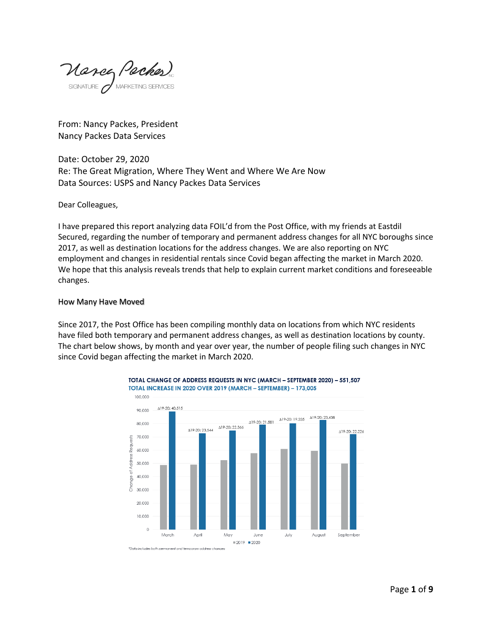Mance Paches

From: Nancy Packes, President Nancy Packes Data Services

Date: October 29, 2020 Re: The Great Migration, Where They Went and Where We Are Now Data Sources: USPS and Nancy Packes Data Services

Dear Colleagues,

I have prepared this report analyzing data FOIL'd from the Post Office, with my friends at Eastdil Secured, regarding the number of temporary and permanent address changes for all NYC boroughs since 2017, as well as destination locations for the address changes. We are also reporting on NYC employment and changes in residential rentals since Covid began affecting the market in March 2020. We hope that this analysis reveals trends that help to explain current market conditions and foreseeable changes.

#### How Many Have Moved

Since 2017, the Post Office has been compiling monthly data on locations from which NYC residents have filed both temporary and permanent address changes, as well as destination locations by county. The chart below shows, by month and year over year, the number of people filing such changes in NYC since Covid began affecting the market in March 2020.



TOTAL CHANGE OF ADDRESS REQUESTS IN NYC (MARCH - SEPTEMBER 2020) - 551,507 TOTAL INCREASE IN 2020 OVER 2019 (MARCH - SEPTEMBER) - 173,005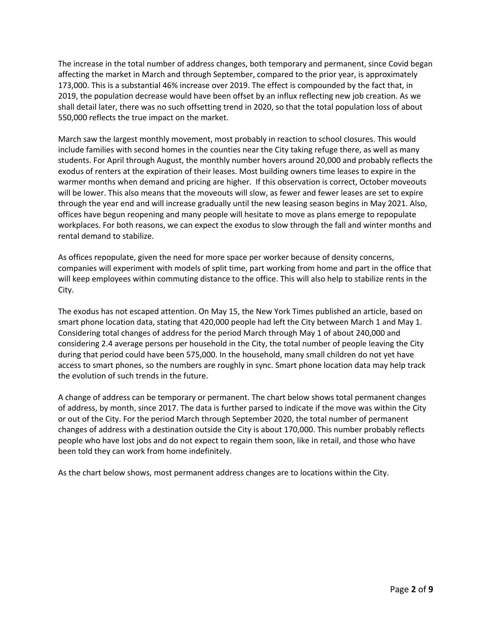The increase in the total number of address changes, both temporary and permanent, since Covid began affecting the market in March and through September, compared to the prior year, is approximately 173,000. This is a substantial 46% increase over 2019. The effect is compounded by the fact that, in 2019, the population decrease would have been offset by an influx reflecting new job creation. As we shall detail later, there was no such offsetting trend in 2020, so that the total population loss of about 550,000 reflects the true impact on the market.

March saw the largest monthly movement, most probably in reaction to school closures. This would include families with second homes in the counties near the City taking refuge there, as well as many students. For April through August, the monthly number hovers around 20,000 and probably reflects the exodus of renters at the expiration of their leases. Most building owners time leases to expire in the warmer months when demand and pricing are higher. If this observation is correct, October moveouts will be lower. This also means that the moveouts will slow, as fewer and fewer leases are set to expire through the year end and will increase gradually until the new leasing season begins in May 2021. Also, offices have begun reopening and many people will hesitate to move as plans emerge to repopulate workplaces. For both reasons, we can expect the exodus to slow through the fall and winter months and rental demand to stabilize.

As offices repopulate, given the need for more space per worker because of density concerns, companies will experiment with models of split time, part working from home and part in the office that will keep employees within commuting distance to the office. This will also help to stabilize rents in the City.

The exodus has not escaped attention. On May 15, the New York Times published an article, based on smart phone location data, stating that 420,000 people had left the City between March 1 and May 1. Considering total changes of address for the period March through May 1 of about 240,000 and considering 2.4 average persons per household in the City, the total number of people leaving the City during that period could have been 575,000. In the household, many small children do not yet have access to smart phones, so the numbers are roughly in sync. Smart phone location data may help track the evolution of such trends in the future.

A change of address can be temporary or permanent. The chart below shows total permanent changes of address, by month, since 2017. The data is further parsed to indicate if the move was within the City or out of the City. For the period March through September 2020, the total number of permanent changes of address with a destination outside the City is about 170,000. This number probably reflects people who have lost jobs and do not expect to regain them soon, like in retail, and those who have been told they can work from home indefinitely.

As the chart below shows, most permanent address changes are to locations within the City.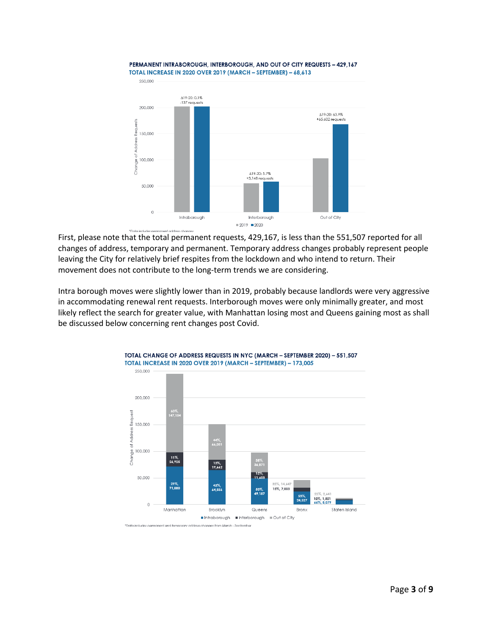

PERMANENT INTRABOROUGH, INTERBOROUGH, AND OUT OF CITY REQUESTS - 429,167

# First, please note that the total permanent requests, 429,167, is less than the 551,507 reported for all changes of address, temporary and permanent. Temporary address changes probably represent people leaving the City for relatively brief respites from the lockdown and who intend to return. Their movement does not contribute to the long-term trends we are considering.

Intra borough moves were slightly lower than in 2019, probably because landlords were very aggressive in accommodating renewal rent requests. Interborough moves were only minimally greater, and most likely reflect the search for greater value, with Manhattan losing most and Queens gaining most as shall be discussed below concerning rent changes post Covid.

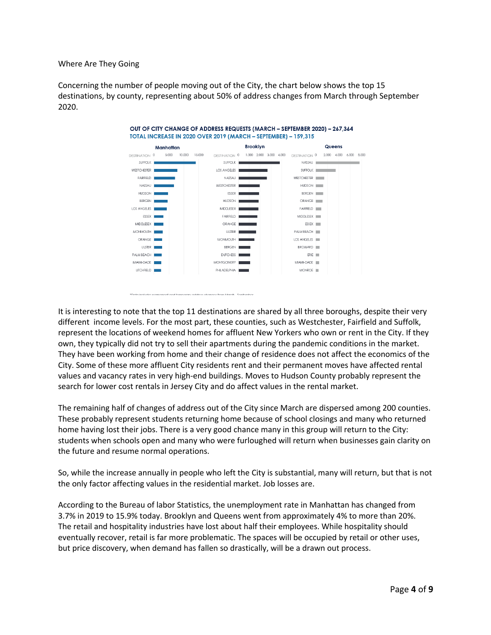Where Are They Going

Concerning the number of people moving out of the City, the chart below shows the top 15 destinations, by county, representing about 50% of address changes from March through September 2020.



It is interesting to note that the top 11 destinations are shared by all three boroughs, despite their very different income levels. For the most part, these counties, such as Westchester, Fairfield and Suffolk, represent the locations of weekend homes for affluent New Yorkers who own or rent in the City. If they own, they typically did not try to sell their apartments during the pandemic conditions in the market. They have been working from home and their change of residence does not affect the economics of the City. Some of these more affluent City residents rent and their permanent moves have affected rental values and vacancy rates in very high-end buildings. Moves to Hudson County probably represent the search for lower cost rentals in Jersey City and do affect values in the rental market.

The remaining half of changes of address out of the City since March are dispersed among 200 counties. These probably represent students returning home because of school closings and many who returned home having lost their jobs. There is a very good chance many in this group will return to the City: students when schools open and many who were furloughed will return when businesses gain clarity on the future and resume normal operations.

So, while the increase annually in people who left the City is substantial, many will return, but that is not the only factor affecting values in the residential market. Job losses are.

According to the Bureau of labor Statistics, the unemployment rate in Manhattan has changed from 3.7% in 2019 to 15.9% today. Brooklyn and Queens went from approximately 4% to more than 20%. The retail and hospitality industries have lost about half their employees. While hospitality should eventually recover, retail is far more problematic. The spaces will be occupied by retail or other uses, but price discovery, when demand has fallen so drastically, will be a drawn out process.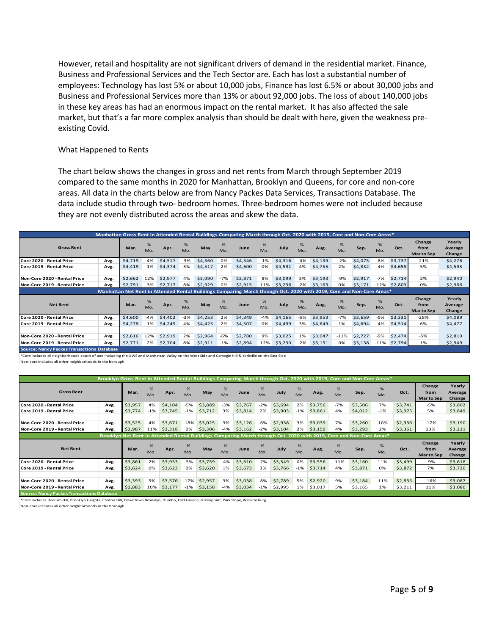However, retail and hospitality are not significant drivers of demand in the residential market. Finance, Business and Professional Services and the Tech Sector are. Each has lost a substantial number of employees: Technology has lost 5% or about 10,000 jobs, Finance has lost 6.5% or about 30,000 jobs and Business and Professional Services more than 13% or about 92,000 jobs. The loss of about 140,000 jobs in these key areas has had an enormous impact on the rental market. It has also affected the sale market, but that's a far more complex analysis than should be dealt with here, given the weakness preexisting Covid.

#### What Happened to Rents

The chart below shows the changes in gross and net rents from March through September 2019 compared to the same months in 2020 for Manhattan, Brooklyn and Queens, for core and non-core areas. All data in the charts below are from Nancy Packes Data Services, Transactions Database. The data include studio through two- bedroom homes. Three-bedroom homes were not included because they are not evenly distributed across the areas and skew the data.

|                              |      |         |          |         |          |         |          | Manhattan Gross Rent in Attended Rental Buildings Comparing March through Oct. 2020 with 2019, Core and Non-Core Areas* |          |         |          |         |          |         |          |                 |                              |                             |
|------------------------------|------|---------|----------|---------|----------|---------|----------|-------------------------------------------------------------------------------------------------------------------------|----------|---------|----------|---------|----------|---------|----------|-----------------|------------------------------|-----------------------------|
| <b>Gross Rent</b>            |      | Mar.    | %<br>Mo. | Apr.    | %<br>Mo. | May     | %<br>Mo. | June                                                                                                                    | %<br>Mo. | July    | %<br>Mo. | Aug.    | %<br>Mo. | Sep.    | %<br>Mo. | Oct.            | Change<br>from<br>Mar to Sep | Yearly<br>Average<br>Change |
| Core 2020 - Rental Price     | Avg. | \$4,719 | $-4%$    | \$4,517 | $-3%$    | \$4,360 | 0%       | \$4,346                                                                                                                 | $-1%$    | \$4,316 | $-4%$    | \$4,139 | $-2%$    | \$4,075 | $-8%$    | \$3,737         | $-21%$                       | \$4,276                     |
| Core 2019 - Rental Price     | Avg. | \$4,419 | $-1%$    | \$4,374 | 3%       | \$4,517 | 2%       | \$4,600                                                                                                                 | 0%       | \$4,591 | 4%       | \$4,755 | 2%       | \$4,832 | $-4%$    | \$4,655         | 5%                           | \$4,593                     |
|                              |      |         |          |         |          |         |          |                                                                                                                         |          |         |          |         |          |         |          |                 |                              |                             |
| Non-Core 2020 - Rental Price | Avg. | \$2,662 | 12%      | \$2,977 | 4%       | \$3,090 | $-7%$    | \$2,871                                                                                                                 | 8%       | \$3,099 | 3%       | \$3,193 | $-9%$    | \$2,917 | $-7%$    | \$2,714         | 2%                           | \$2,940                     |
| Non-Core 2019 - Rental Price | Avg. | \$2,791 | $-3%$    | \$2,717 | 8%       | \$2,929 | 0%       | \$2,915                                                                                                                 | 11%      | \$3,236 | $-2%$    | \$3,163 | 0%       | \$3,171 | $-12%$   | \$2,803         | 0%                           | \$2,966                     |
|                              |      |         |          |         |          |         |          | Manhattan Net Rent in Attended Rental Buildings Comparing March through Oct. 2020 with 2019, Core and Non-Core Areas*   |          |         |          |         |          |         |          |                 |                              |                             |
| <b>Net Rent</b>              |      | Mar.    | %<br>Mo. | Apr.    | %<br>Mo. | May     | %<br>Mo. | June                                                                                                                    | %<br>Mo. | July    | %<br>Mo. | Aug.    | %<br>Mo. | Sep.    | %<br>Mo. | Oct.            | Change<br>from<br>Mar to Sep | Yearly<br>Average<br>Change |
| Core 2020 - Rental Price     | Avg. | \$4,600 | $-4%$    | \$4,402 | $-3%$    | \$4,253 | 2%       | \$4,349                                                                                                                 | $-4%$    | \$4,165 | $-5%$    | \$3,953 | $-7%$    | \$3,659 | $-9%$    | \$3,331         | $-28%$                       | \$4,089                     |
| Core 2019 - Rental Price     | Avg. | \$4,278 | $-1%$    | \$4,249 | 4%       | \$4,425 | 2%       | \$4,507                                                                                                                 | 0%       | \$4,499 | 3%       | \$4,649 | 1%       | \$4,694 | $-4%$    | \$4,514         | 6%                           | \$4,477                     |
|                              |      |         |          |         |          |         |          |                                                                                                                         |          |         |          |         |          |         |          |                 |                              |                             |
|                              |      |         |          |         |          | \$2,964 | $-6%$    | \$2,780                                                                                                                 | 9%       | \$3,025 | 1%       | \$3,047 | $-11%$   | \$2,727 | $-9%$    | \$2,474         | $-5%$                        | \$2,819                     |
| Non-Core 2020 - Rental Price | Avg. | \$2,616 | 12%      | \$2,919 | 2%       |         |          |                                                                                                                         |          |         |          |         |          |         |          |                 |                              |                             |
| Non-Core 2019 - Rental Price | Avg. | \$2,771 | $-2%$    | \$2,704 | 8%       | \$2,911 | $-1%$    | \$2,894                                                                                                                 | 12%      | \$3,230 | $-2%$    | \$3,151 | 0%       | \$3,138 |          | $-11\%$ \$2.794 | 1%                           | \$2,949                     |

\*Core includes all neighborhoods south of and including the UWS and Manhattan Valley on the West Side and Carnegie Hill & Yorkville on the East Side

Non-core includes all other neighborhoods in the borough

|                              | Brooklyn Gross Rent in Attended Rental Buildings Comparing March through Oct. 2020 with 2019, Core and Non-Core Areas* |         |          |         |          |         |          |         |          |         |          |         |          |                                                                                                                      |          |         |                              |                             |
|------------------------------|------------------------------------------------------------------------------------------------------------------------|---------|----------|---------|----------|---------|----------|---------|----------|---------|----------|---------|----------|----------------------------------------------------------------------------------------------------------------------|----------|---------|------------------------------|-----------------------------|
| <b>Gross Rent</b>            |                                                                                                                        | Mar.    | %<br>Mo. | Apr.    | %<br>Mo. | May     | %<br>Mo. | June    | %<br>Mo. | July    | %<br>Mo. | Aug.    | %<br>Mo. | Sep.                                                                                                                 | %<br>Mo. | Oct.    | Change<br>from<br>Mar to Sep | Yearly<br>Average<br>Change |
| Core 2020 - Rental Price     | Avg.                                                                                                                   | \$3,957 | 4%       | \$4,104 | $-5%$    | \$3,889 | $-3%$    | \$3,767 | $-2%$    | \$3,694 | 2%       | \$3,756 | $-7%$    | \$3,506                                                                                                              | 7%       | \$3,741 | $-5%$                        | \$3,802                     |
| Core 2019 - Rental Price     | Avg.                                                                                                                   | \$3,774 | $-1%$    | \$3,745 | $-1%$    | \$3,712 | 3%       | \$3,814 | 2%       | \$3,903 | $-1%$    | \$3,861 | 4%       | \$4,012                                                                                                              | $-1%$    | \$3,975 | 5%                           | \$3,849                     |
|                              |                                                                                                                        |         |          |         |          |         |          |         |          |         |          |         |          |                                                                                                                      |          |         |                              |                             |
| Non-Core 2020 - Rental Price | Avg.                                                                                                                   | \$3,525 | 4%       | \$3,671 | $-18%$   | \$3,025 | 3%       | \$3,126 | $-6%$    | \$2,938 | 3%       | \$3,039 | 7%       | \$3,260                                                                                                              | $-10%$   | \$2,936 | $-17%$                       | \$3,190                     |
| Non-Core 2019 - Rental Price | Avg.                                                                                                                   | \$2,987 | 11%      | \$3,318 | 0%       | \$3,306 | $-4%$    | \$3,162 | $-2%$    | \$3,104 | 2%       | \$3,159 | 4%       | \$3,293                                                                                                              | 2%       | \$3,361 | 13%                          | \$3,211                     |
|                              |                                                                                                                        |         |          |         |          |         |          |         |          |         |          |         |          | Brooklyn Net Rent in Attended Rental Buildings Comparing March through Oct. 2020 with 2019, Core and Non-Core Areas* |          |         |                              |                             |
| <b>Net Rent</b>              |                                                                                                                        | Mar.    | %<br>Mo. | Apr.    | %<br>Mo. | May     | %<br>Mo. | June    | %<br>Mo. | July    | %<br>Mo. | Aug.    | %<br>Mo. | Sep.                                                                                                                 | %<br>Mo. | Oct.    | Change<br>from<br>Mar to Sep | Yearly<br>Average<br>Change |
| Core 2020 - Rental Price     | Avg.                                                                                                                   | \$3,861 | 2%       | \$3,953 | $-5%$    | \$3,759 | -4%      | \$3,610 | $-2%$    | \$3,549 | 0%       | \$3,556 | $-11%$   | \$3,160                                                                                                              | 11%      | \$3,499 | $-9%$                        | \$3,618                     |
| Core 2019 - Rental Price     | Avg.                                                                                                                   | \$3,624 | 0%       | \$3,623 | 0%       | \$3,620 | 1%       | \$3,673 | 3%       | \$3,766 | $-1\%$   | \$3,714 | 4%       | \$3,871                                                                                                              | 0%       | \$3,872 | 7%                           | \$3,720                     |
|                              |                                                                                                                        |         |          |         |          |         |          |         |          |         |          |         |          |                                                                                                                      |          |         |                              |                             |
| Non-Core 2020 - Rental Price | Avg.                                                                                                                   | \$3,393 | 5%       | \$3,576 | $-17%$   | \$2,957 | 3%       | \$3,038 | -8%      | \$2,789 | 5%       | \$2,920 | 9%       | \$3,184                                                                                                              | $-11%$   | \$2,835 | $-16%$                       | \$3,087                     |
|                              |                                                                                                                        |         | 10%      | \$3,177 | $-1%$    | \$3,158 | $-4%$    | \$3,034 | $-1%$    | \$2,995 | 1%       | \$3,017 | 5%       | \$3,165                                                                                                              | 1%       | \$3,211 | 11%                          | \$3,080                     |
| Non-Core 2019 - Rental Price | Avg.                                                                                                                   | \$2,883 |          |         |          |         |          |         |          |         |          |         |          |                                                                                                                      |          |         |                              |                             |

\*Core includes Boerum Hill, Brooklyn Heights, Clinton Hill, Downtown Brooklyn, Dumbo, Fort Greene, Greenpoint, Park Slope, Williamsburg

Non-core includes all other neighborhoods in the borough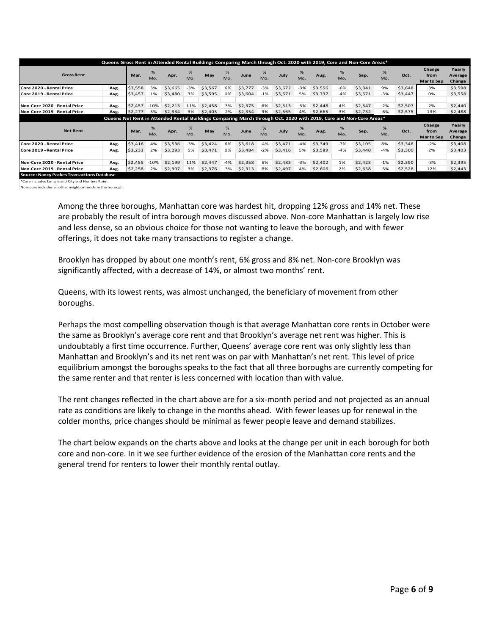| <b>Gross Rent</b>            |      | Mar.    | %<br>Mo. | Apr.    | %<br>Mo. | May     | %<br>Mo. | June    | %<br>Mo. | July    | %<br>Mo. | Queens Gross Rent in Attended Rental Buildings Comparing March through Oct. 2020 with 2019, Core and Non-Core Areas*<br>Aug. | %<br>Mo. | Sep.                                                                                                               | %<br>Mo. | Oct.    | Change<br>from<br>Mar to Sep       | Yearly<br>Average<br>Change |
|------------------------------|------|---------|----------|---------|----------|---------|----------|---------|----------|---------|----------|------------------------------------------------------------------------------------------------------------------------------|----------|--------------------------------------------------------------------------------------------------------------------|----------|---------|------------------------------------|-----------------------------|
| Core 2020 - Rental Price     | Avg. | \$3,558 | 3%       | \$3,665 | $-3%$    | \$3,567 | 6%       | \$3,777 | $-3%$    | \$3,672 | $-3%$    | \$3,556                                                                                                                      | $-6%$    | \$3,341                                                                                                            | 9%       | \$3,648 | 3%                                 | \$3,598                     |
| Core 2019 - Rental Price     | Avg. | \$3,457 | 1%       | \$3,480 | 3%       | \$3,595 | 0%       | \$3,604 | $-1%$    | \$3,571 | 5%       | \$3,737                                                                                                                      | $-4%$    | \$3,571                                                                                                            | $-3%$    | \$3,447 | 0%                                 | \$3,558                     |
|                              |      |         |          |         |          |         |          |         |          |         |          |                                                                                                                              |          |                                                                                                                    |          |         |                                    |                             |
| Non-Core 2020 - Rental Price | Avg. | \$2,457 | $-10%$   | \$2,213 | 11%      | \$2,458 | $-3%$    | \$2,375 | 6%       | \$2,513 | $-3%$    | \$2,448                                                                                                                      | 4%       | \$2,547                                                                                                            | $-2%$    | \$2,507 | 2%                                 | \$2,440                     |
| Non-Core 2019 - Rental Price | Avg. | \$2.277 | 3%       | \$2.334 | 3%       | \$2,403 | $-2%$    | \$2,354 | 9%       | \$2,565 | 4%       | \$2,665                                                                                                                      | 3%       | \$2,732                                                                                                            | $-6%$    | \$2,575 | 13%                                | \$2,488                     |
|                              |      |         |          |         |          |         |          |         |          |         |          |                                                                                                                              |          |                                                                                                                    |          |         |                                    |                             |
|                              |      |         |          |         |          |         |          |         |          |         |          |                                                                                                                              |          | Queens Net Rent in Attended Rental Buildings Comparing March through Oct. 2020 with 2019, Core and Non-Core Areas* |          |         |                                    |                             |
| <b>Net Rent</b>              |      | Mar.    | %<br>Mo. | Apr.    | %<br>Mo. | May     | %<br>Mo. | June    | %<br>Mo. | July    | %<br>Mo. | Aug.                                                                                                                         | %<br>Mo. | Sep.                                                                                                               | %<br>Mo. | Oct.    | Change<br>from<br><b>Marto Sep</b> | Yearly<br>Average<br>Change |
| Core 2020 - Rental Price     | Avg. | \$3,416 | 4%       | \$3,536 | $-3%$    | \$3,424 | 6%       | \$3,618 | $-4%$    | \$3,471 | $-4%$    | \$3,349                                                                                                                      | $-7%$    | \$3,105                                                                                                            | 8%       | \$3,348 | $-2%$                              | \$3,408                     |
| Core 2019 - Rental Price     | Avg. | \$3,233 | 2%       | \$3,293 | 5%       | \$3,471 | 0%       | \$3,484 | $-2%$    | \$3,416 | 5%       | \$3,589                                                                                                                      | $-4%$    | \$3,440                                                                                                            | $-4%$    | \$3,300 | 2%                                 | \$3,403                     |
|                              |      |         |          |         |          |         |          |         |          |         |          |                                                                                                                              |          |                                                                                                                    |          |         |                                    |                             |
| Non-Core 2020 - Rental Price | Avg. | \$2,455 | $-10%$   | \$2,199 | 11%      | \$2,447 | $-4%$    | \$2,358 | 5%       | \$2,483 | $-3%$    | \$2,402                                                                                                                      | 1%       | \$2,423                                                                                                            | $-1%$    | \$2,390 | $-3%$                              | \$2,395                     |

\*Core includes Long Island City and Hunters Point.

Non-core includes all other neighborhoods in the borough

Among the three boroughs, Manhattan core was hardest hit, dropping 12% gross and 14% net. These are probably the result of intra borough moves discussed above. Non-core Manhattan is largely low rise and less dense, so an obvious choice for those not wanting to leave the borough, and with fewer offerings, it does not take many transactions to register a change.

Brooklyn has dropped by about one month's rent, 6% gross and 8% net. Non-core Brooklyn was significantly affected, with a decrease of 14%, or almost two months' rent.

Queens, with its lowest rents, was almost unchanged, the beneficiary of movement from other boroughs.

Perhaps the most compelling observation though is that average Manhattan core rents in October were the same as Brooklyn's average core rent and that Brooklyn's average net rent was higher. This is undoubtably a first time occurrence. Further, Queens' average core rent was only slightly less than Manhattan and Brooklyn's and its net rent was on par with Manhattan's net rent. This level of price equilibrium amongst the boroughs speaks to the fact that all three boroughs are currently competing for the same renter and that renter is less concerned with location than with value.

The rent changes reflected in the chart above are for a six-month period and not projected as an annual rate as conditions are likely to change in the months ahead. With fewer leases up for renewal in the colder months, price changes should be minimal as fewer people leave and demand stabilizes.

The chart below expands on the charts above and looks at the change per unit in each borough for both core and non-core. In it we see further evidence of the erosion of the Manhattan core rents and the general trend for renters to lower their monthly rental outlay.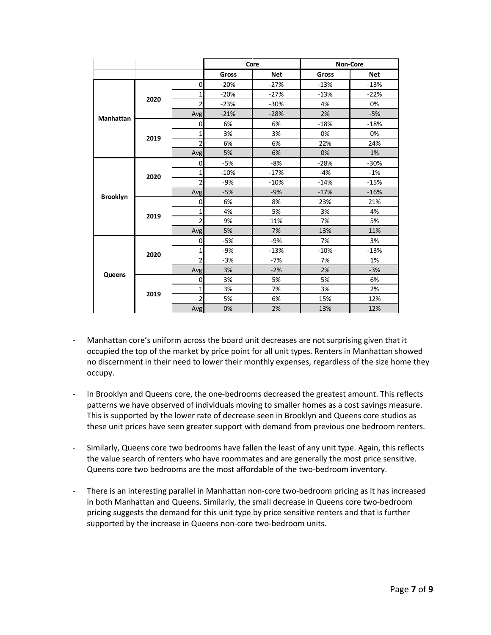|                  |      |                |        | Core   | Non-Core |            |  |  |  |
|------------------|------|----------------|--------|--------|----------|------------|--|--|--|
|                  |      |                | Gross  | Net    | Gross    | <b>Net</b> |  |  |  |
|                  |      | $\mathbf 0$    | $-20%$ | $-27%$ | $-13%$   | $-13%$     |  |  |  |
|                  | 2020 | $\mathbf{1}$   | $-20%$ | $-27%$ | $-13%$   | $-22%$     |  |  |  |
|                  |      | $\overline{2}$ | $-23%$ | $-30%$ | 4%       | 0%         |  |  |  |
| <b>Manhattan</b> |      | Avg            | $-21%$ | $-28%$ | 2%       | $-5%$      |  |  |  |
|                  |      | $\mathbf 0$    | 6%     | 6%     | $-18%$   | $-18%$     |  |  |  |
|                  |      | 1              | 3%     | 3%     | 0%       | 0%         |  |  |  |
|                  | 2019 | $\overline{2}$ | 6%     | 6%     | 22%      | 24%        |  |  |  |
|                  |      | Avg            | 5%     | 6%     | 0%       | 1%         |  |  |  |
|                  |      | $\mathbf 0$    | $-5%$  | $-8%$  | $-28%$   | $-30%$     |  |  |  |
|                  | 2020 | 1              | $-10%$ | $-17%$ | $-4%$    | $-1%$      |  |  |  |
|                  |      | 2              | $-9%$  | $-10%$ | $-14%$   | $-15%$     |  |  |  |
| <b>Brooklyn</b>  |      | Avg            | $-5%$  | $-9%$  | $-17%$   | $-16%$     |  |  |  |
|                  |      | $\mathbf 0$    | 6%     | 8%     | 23%      | 21%        |  |  |  |
|                  | 2019 | 1              | 4%     | 5%     | 3%       | 4%         |  |  |  |
|                  |      | $\overline{2}$ | 9%     | 11%    | 7%       | 5%         |  |  |  |
|                  |      | Avg            | 5%     | 7%     | 13%      | 11%        |  |  |  |
|                  |      | $\mathbf 0$    | $-5%$  | $-9%$  | 7%       | 3%         |  |  |  |
|                  | 2020 | 1              | $-9%$  | $-13%$ | $-10%$   | $-13%$     |  |  |  |
|                  |      | $\overline{2}$ | $-3%$  | $-7%$  | 7%       | 1%         |  |  |  |
| <b>Queens</b>    |      | Avg            | 3%     | $-2%$  | 2%       | $-3%$      |  |  |  |
|                  |      | $\mathbf 0$    | 3%     | 5%     | 5%       | 6%         |  |  |  |
|                  | 2019 | 1              | 3%     | 7%     | 3%       | 2%         |  |  |  |
|                  |      | $\overline{2}$ | 5%     | 6%     | 15%      | 12%        |  |  |  |
|                  |      | Avg            | 0%     | 2%     | 13%      | 12%        |  |  |  |

- Manhattan core's uniform across the board unit decreases are not surprising given that it occupied the top of the market by price point for all unit types. Renters in Manhattan showed no discernment in their need to lower their monthly expenses, regardless of the size home they occupy.
- In Brooklyn and Queens core, the one-bedrooms decreased the greatest amount. This reflects patterns we have observed of individuals moving to smaller homes as a cost savings measure. This is supported by the lower rate of decrease seen in Brooklyn and Queens core studios as these unit prices have seen greater support with demand from previous one bedroom renters.
- Similarly, Queens core two bedrooms have fallen the least of any unit type. Again, this reflects the value search of renters who have roommates and are generally the most price sensitive. Queens core two bedrooms are the most affordable of the two-bedroom inventory.
- There is an interesting parallel in Manhattan non-core two-bedroom pricing as it has increased in both Manhattan and Queens. Similarly, the small decrease in Queens core two-bedroom pricing suggests the demand for this unit type by price sensitive renters and that is further supported by the increase in Queens non-core two-bedroom units.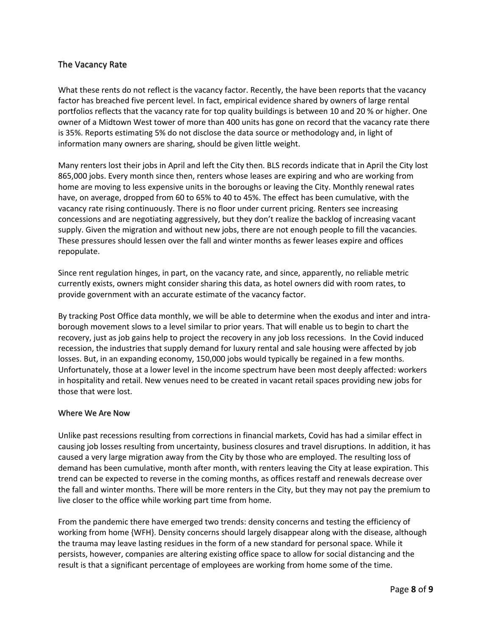## The Vacancy Rate

What these rents do not reflect is the vacancy factor. Recently, the have been reports that the vacancy factor has breached five percent level. In fact, empirical evidence shared by owners of large rental portfolios reflects that the vacancy rate for top quality buildings is between 10 and 20 % or higher. One owner of a Midtown West tower of more than 400 units has gone on record that the vacancy rate there is 35%. Reports estimating 5% do not disclose the data source or methodology and, in light of information many owners are sharing, should be given little weight.

Many renters lost their jobs in April and left the City then. BLS records indicate that in April the City lost 865,000 jobs. Every month since then, renters whose leases are expiring and who are working from home are moving to less expensive units in the boroughs or leaving the City. Monthly renewal rates have, on average, dropped from 60 to 65% to 40 to 45%. The effect has been cumulative, with the vacancy rate rising continuously. There is no floor under current pricing. Renters see increasing concessions and are negotiating aggressively, but they don't realize the backlog of increasing vacant supply. Given the migration and without new jobs, there are not enough people to fill the vacancies. These pressures should lessen over the fall and winter months as fewer leases expire and offices repopulate.

Since rent regulation hinges, in part, on the vacancy rate, and since, apparently, no reliable metric currently exists, owners might consider sharing this data, as hotel owners did with room rates, to provide government with an accurate estimate of the vacancy factor.

By tracking Post Office data monthly, we will be able to determine when the exodus and inter and intraborough movement slows to a level similar to prior years. That will enable us to begin to chart the recovery, just as job gains help to project the recovery in any job loss recessions. In the Covid induced recession, the industries that supply demand for luxury rental and sale housing were affected by job losses. But, in an expanding economy, 150,000 jobs would typically be regained in a few months. Unfortunately, those at a lower level in the income spectrum have been most deeply affected: workers in hospitality and retail. New venues need to be created in vacant retail spaces providing new jobs for those that were lost.

### Where We Are Now

Unlike past recessions resulting from corrections in financial markets, Covid has had a similar effect in causing job losses resulting from uncertainty, business closures and travel disruptions. In addition, it has caused a very large migration away from the City by those who are employed. The resulting loss of demand has been cumulative, month after month, with renters leaving the City at lease expiration. This trend can be expected to reverse in the coming months, as offices restaff and renewals decrease over the fall and winter months. There will be more renters in the City, but they may not pay the premium to live closer to the office while working part time from home.

From the pandemic there have emerged two trends: density concerns and testing the efficiency of working from home {WFH}. Density concerns should largely disappear along with the disease, although the trauma may leave lasting residues in the form of a new standard for personal space. While it persists, however, companies are altering existing office space to allow for social distancing and the result is that a significant percentage of employees are working from home some of the time.